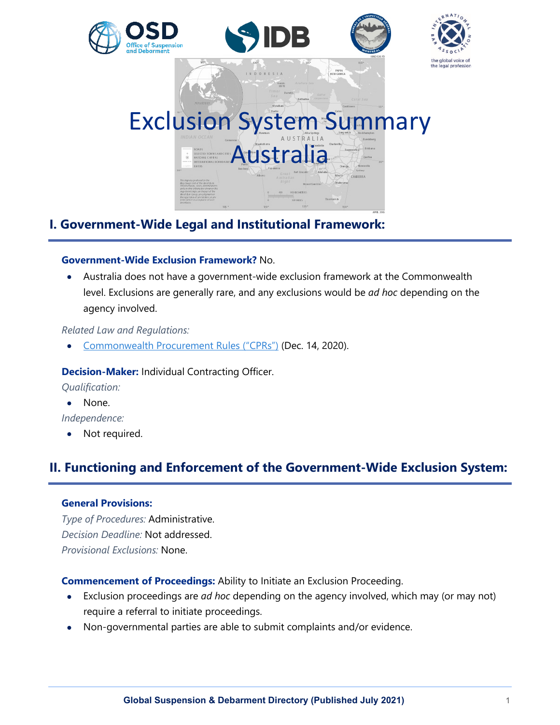

## **I. Government-Wide Legal and Institutional Framework:**

#### **Government-Wide Exclusion Framework?** No.

• Australia does not have a government-wide exclusion framework at the Commonwealth level. Exclusions are generally rare, and any exclusions would be *ad hoc* depending on the agency involved.

*Related Law and Regulations:*

• [Commonwealth Procurement Rules \("CPRs"\)](https://www.finance.gov.au/government/procurement/commonwealth-procurement-rules) (Dec. 14, 2020).

#### **Decision-Maker:** Individual Contracting Officer.

*Qualification:*

• None.

*Independence:*

• Not required.

# **II. Functioning and Enforcement of the Government-Wide Exclusion System:**

#### **General Provisions:**

*Type of Procedures:* Administrative. *Decision Deadline:* Not addressed. *Provisional Exclusions:* None.

**Commencement of Proceedings:** Ability to Initiate an Exclusion Proceeding.

- Exclusion proceedings are *ad hoc* depending on the agency involved, which may (or may not) require a referral to initiate proceedings.
- Non-governmental parties are able to submit complaints and/or evidence.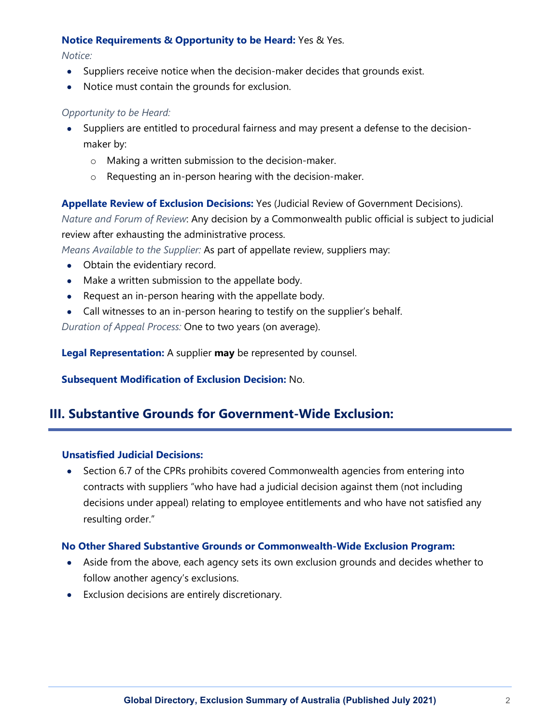#### **Notice Requirements & Opportunity to be Heard:** Yes & Yes.

*Notice:*

- Suppliers receive notice when the decision-maker decides that grounds exist.
- Notice must contain the grounds for exclusion.

#### *Opportunity to be Heard:*

- Suppliers are entitled to procedural fairness and may present a defense to the decisionmaker by:
	- o Making a written submission to the decision-maker.
	- o Requesting an in-person hearing with the decision-maker.

**Appellate Review of Exclusion Decisions:** Yes (Judicial Review of Government Decisions).

*Nature and Forum of Review*: Any decision by a Commonwealth public official is subject to judicial review after exhausting the administrative process.

*Means Available to the Supplier:* As part of appellate review, suppliers may:

- Obtain the evidentiary record.
- Make a written submission to the appellate body.
- Request an in-person hearing with the appellate body.
- Call witnesses to an in-person hearing to testify on the supplier's behalf.

*Duration of Appeal Process:* One to two years (on average).

**Legal Representation:** A supplier **may** be represented by counsel.

**Subsequent Modification of Exclusion Decision:** No.

## **III. Substantive Grounds for Government-Wide Exclusion:**

#### **Unsatisfied Judicial Decisions:**

• Section 6.7 of the CPRs prohibits covered Commonwealth agencies from entering into contracts with suppliers "who have had a judicial decision against them (not including decisions under appeal) relating to employee entitlements and who have not satisfied any resulting order."

#### **No Other Shared Substantive Grounds or Commonwealth-Wide Exclusion Program:**

- Aside from the above, each agency sets its own exclusion grounds and decides whether to follow another agency's exclusions.
- Exclusion decisions are entirely discretionary.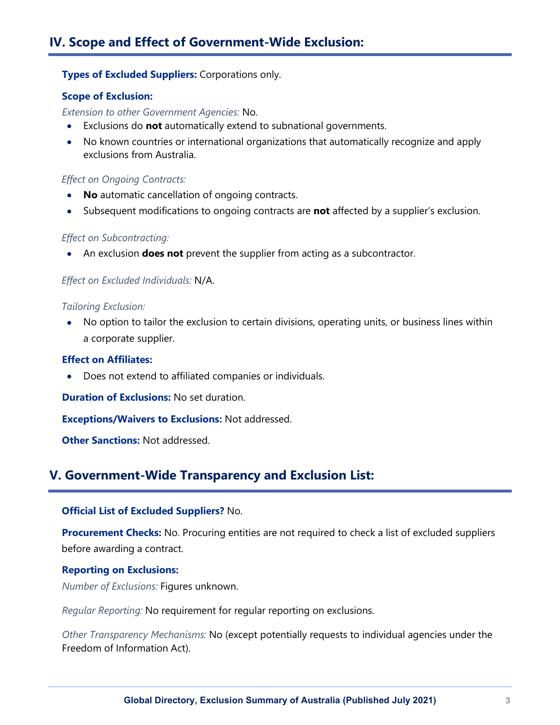#### **Types of Excluded Suppliers:** Corporations only.

#### **Scope of Exclusion:**

*Extension to other Government Agencies:* No.

- Exclusions do **not** automatically extend to subnational governments.
- No known countries or international organizations that automatically recognize and apply exclusions from Australia.

#### *Effect on Ongoing Contracts:*

- **No** automatic cancellation of ongoing contracts.
- Subsequent modifications to ongoing contracts are **not** affected by a supplier's exclusion.

#### *Effect on Subcontracting:*

• An exclusion **does not** prevent the supplier from acting as a subcontractor.

#### *Effect on Excluded Individuals:* N/A.

#### *Tailoring Exclusion:*

• No option to tailor the exclusion to certain divisions, operating units, or business lines within a corporate supplier.

#### **Effect on Affiliates:**

• Does not extend to affiliated companies or individuals.

**Duration of Exclusions:** No set duration.

**Exceptions/Waivers to Exclusions:** Not addressed.

**Other Sanctions:** Not addressed.

## **V. Government-Wide Transparency and Exclusion List:**

#### **Official List of Excluded Suppliers?** No.

**Procurement Checks:** No. Procuring entities are not required to check a list of excluded suppliers before awarding a contract.

#### **Reporting on Exclusions:**

*Number of Exclusions:* Figures unknown.

*Regular Reporting:* No requirement for regular reporting on exclusions.

*Other Transparency Mechanisms:* No (except potentially requests to individual agencies under the Freedom of Information Act).